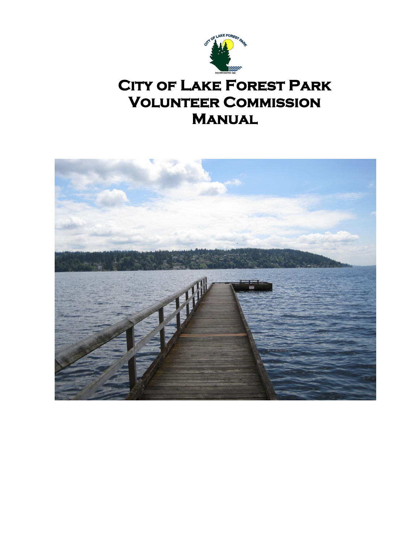

# **CITY OF LAKE FOREST PARK Volunteer Commission Manual**

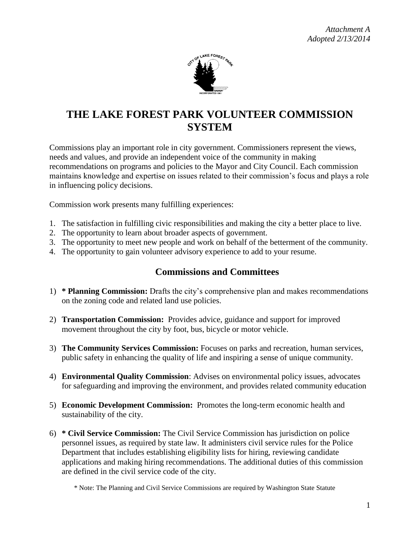

## **THE LAKE FOREST PARK VOLUNTEER COMMISSION SYSTEM**

Commissions play an important role in city government. Commissioners represent the views, needs and values, and provide an independent voice of the community in making recommendations on programs and policies to the Mayor and City Council. Each commission maintains knowledge and expertise on issues related to their commission's focus and plays a role in influencing policy decisions.

Commission work presents many fulfilling experiences:

- 1. The satisfaction in fulfilling civic responsibilities and making the city a better place to live.
- 2. The opportunity to learn about broader aspects of government.
- 3. The opportunity to meet new people and work on behalf of the betterment of the community.
- 4. The opportunity to gain volunteer advisory experience to add to your resume.

### **Commissions and Committees**

- 1) **\* Planning Commission:** Drafts the city's comprehensive plan and makes recommendations on the zoning code and related land use policies.
- 2) **Transportation Commission:** Provides advice, guidance and support for improved movement throughout the city by foot, bus, bicycle or motor vehicle.
- 3) **The Community Services Commission:** Focuses on parks and recreation, human services, public safety in enhancing the quality of life and inspiring a sense of unique community.
- 4) **Environmental Quality Commission**: Advises on environmental policy issues, advocates for safeguarding and improving the environment, and provides related community education
- 5) **Economic Development Commission:** Promotes the long-term economic health and sustainability of the city.
- 6) **\* Civil Service Commission:** The Civil Service Commission has jurisdiction on police personnel issues, as required by state law. It administers civil service rules for the Police Department that includes establishing eligibility lists for hiring, reviewing candidate applications and making hiring recommendations. The additional duties of this commission are defined in the civil service code of the city.

\* Note: The Planning and Civil Service Commissions are required by Washington State Statute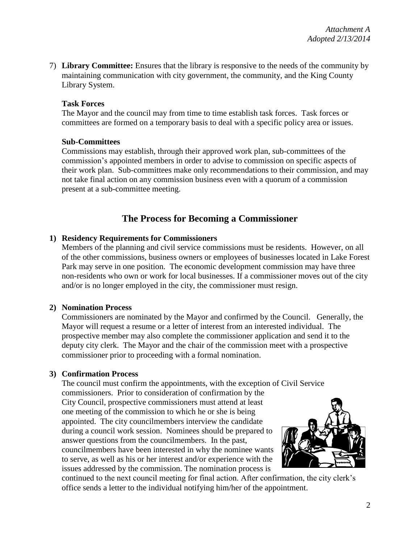7) **Library Committee:** Ensures that the library is responsive to the needs of the community by maintaining communication with city government, the community, and the King County Library System.

#### **Task Forces**

The Mayor and the council may from time to time establish task forces. Task forces or committees are formed on a temporary basis to deal with a specific policy area or issues.

#### **Sub-Committees**

Commissions may establish, through their approved work plan, sub-committees of the commission's appointed members in order to advise to commission on specific aspects of their work plan. Sub-committees make only recommendations to their commission, and may not take final action on any commission business even with a quorum of a commission present at a sub-committee meeting.

## **The Process for Becoming a Commissioner**

#### **1) Residency Requirements for Commissioners**

Members of the planning and civil service commissions must be residents. However, on all of the other commissions, business owners or employees of businesses located in Lake Forest Park may serve in one position. The economic development commission may have three non-residents who own or work for local businesses. If a commissioner moves out of the city and/or is no longer employed in the city, the commissioner must resign.

#### **2) Nomination Process**

Commissioners are nominated by the Mayor and confirmed by the Council. Generally, the Mayor will request a resume or a letter of interest from an interested individual. The prospective member may also complete the commissioner application and send it to the deputy city clerk. The Mayor and the chair of the commission meet with a prospective commissioner prior to proceeding with a formal nomination.

#### **3) Confirmation Process**

The council must confirm the appointments, with the exception of Civil Service commissioners. Prior to consideration of confirmation by the City Council, prospective commissioners must attend at least one meeting of the commission to which he or she is being appointed. The city councilmembers interview the candidate during a council work session. Nominees should be prepared to answer questions from the councilmembers. In the past, councilmembers have been interested in why the nominee wants to serve, as well as his or her interest and/or experience with the issues addressed by the commission. The nomination process is



continued to the next council meeting for final action. After confirmation, the city clerk's office sends a letter to the individual notifying him/her of the appointment.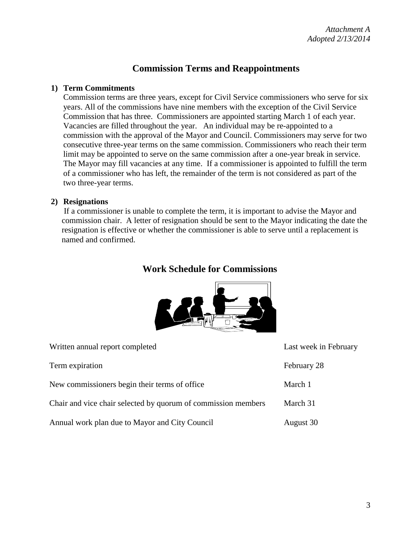### **Commission Terms and Reappointments**

#### **1) Term Commitments**

Commission terms are three years, except for Civil Service commissioners who serve for six years. All of the commissions have nine members with the exception of the Civil Service Commission that has three. Commissioners are appointed starting March 1 of each year. Vacancies are filled throughout the year.An individual may be re-appointed to a commission with the approval of the Mayor and Council. Commissioners may serve for two consecutive three-year terms on the same commission. Commissioners who reach their term limit may be appointed to serve on the same commission after a one-year break in service. The Mayor may fill vacancies at any time. If a commissioner is appointed to fulfill the term of a commissioner who has left, the remainder of the term is not considered as part of the two three-year terms.

#### **2) Resignations**

If a commissioner is unable to complete the term, it is important to advise the Mayor and commission chair. A letter of resignation should be sent to the Mayor indicating the date the resignation is effective or whether the commissioner is able to serve until a replacement is named and confirmed.

### **Work Schedule for Commissions**



| Written annual report completed                               | Last week in February |
|---------------------------------------------------------------|-----------------------|
| Term expiration                                               | February 28           |
| New commissioners begin their terms of office.                | March 1               |
| Chair and vice chair selected by quorum of commission members | March 31              |
| Annual work plan due to Mayor and City Council                | August 30             |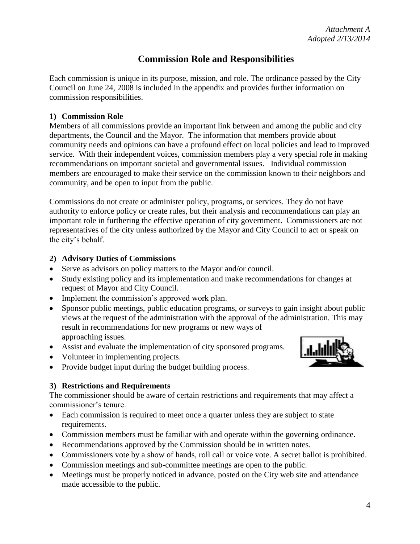## **Commission Role and Responsibilities**

Each commission is unique in its purpose, mission, and role. The ordinance passed by the City Council on June 24, 2008 is included in the appendix and provides further information on commission responsibilities.

#### **1) Commission Role**

Members of all commissions provide an important link between and among the public and city departments, the Council and the Mayor. The information that members provide about community needs and opinions can have a profound effect on local policies and lead to improved service. With their independent voices, commission members play a very special role in making recommendations on important societal and governmental issues. Individual commission members are encouraged to make their service on the commission known to their neighbors and community, and be open to input from the public.

Commissions do not create or administer policy, programs, or services. They do not have authority to enforce policy or create rules, but their analysis and recommendations can play an important role in furthering the effective operation of city government. Commissioners are not representatives of the city unless authorized by the Mayor and City Council to act or speak on the city's behalf.

#### **2) Advisory Duties of Commissions**

- Serve as advisors on policy matters to the Mayor and/or council.
- Study existing policy and its implementation and make recommendations for changes at request of Mayor and City Council.
- Implement the commission's approved work plan.
- Sponsor public meetings, public education programs, or surveys to gain insight about public views at the request of the administration with the approval of the administration. This may result in recommendations for new programs or new ways of approaching issues.
- Assist and evaluate the implementation of city sponsored programs.
- Volunteer in implementing projects.
- Provide budget input during the budget building process.

#### **3) Restrictions and Requirements**

The commissioner should be aware of certain restrictions and requirements that may affect a commissioner's tenure.

- Each commission is required to meet once a quarter unless they are subject to state requirements.
- Commission members must be familiar with and operate within the governing ordinance.
- Recommendations approved by the Commission should be in written notes.
- Commissioners vote by a show of hands, roll call or voice vote. A secret ballot is prohibited.
- Commission meetings and sub-committee meetings are open to the public.
- Meetings must be properly noticed in advance, posted on the City web site and attendance made accessible to the public.



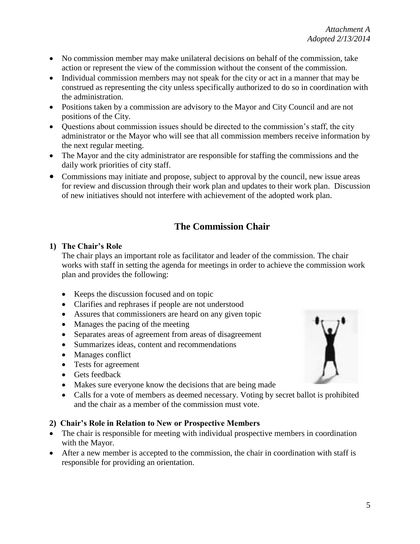- No commission member may make unilateral decisions on behalf of the commission, take action or represent the view of the commission without the consent of the commission.
- Individual commission members may not speak for the city or act in a manner that may be construed as representing the city unless specifically authorized to do so in coordination with the administration.
- Positions taken by a commission are advisory to the Mayor and City Council and are not positions of the City.
- Questions about commission issues should be directed to the commission's staff, the city administrator or the Mayor who will see that all commission members receive information by the next regular meeting.
- The Mayor and the city administrator are responsible for staffing the commissions and the daily work priorities of city staff.
- Commissions may initiate and propose, subject to approval by the council, new issue areas for review and discussion through their work plan and updates to their work plan. Discussion of new initiatives should not interfere with achievement of the adopted work plan.

## **The Commission Chair**

#### **1) The Chair's Role**

The chair plays an important role as facilitator and leader of the commission. The chair works with staff in setting the agenda for meetings in order to achieve the commission work plan and provides the following:

- Keeps the discussion focused and on topic
- Clarifies and rephrases if people are not understood
- Assures that commissioners are heard on any given topic
- Manages the pacing of the meeting
- Separates areas of agreement from areas of disagreement
- Summarizes ideas, content and recommendations
- Manages conflict
- Tests for agreement
- Gets feedback
- Makes sure everyone know the decisions that are being made
- Calls for a vote of members as deemed necessary. Voting by secret ballot is prohibited and the chair as a member of the commission must vote.

#### **2) Chair's Role in Relation to New or Prospective Members**

- The chair is responsible for meeting with individual prospective members in coordination with the Mayor.
- After a new member is accepted to the commission, the chair in coordination with staff is responsible for providing an orientation.

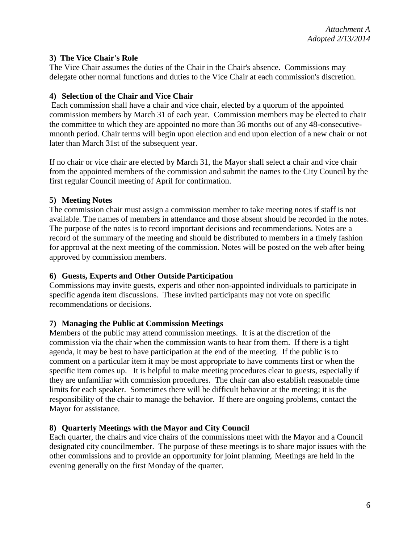#### **3) The Vice Chair's Role**

The Vice Chair assumes the duties of the Chair in the Chair's absence. Commissions may delegate other normal functions and duties to the Vice Chair at each commission's discretion.

#### **4) Selection of the Chair and Vice Chair**

Each commission shall have a chair and vice chair, elected by a quorum of the appointed commission members by March 31 of each year. Commission members may be elected to chair the committee to which they are appointed no more than 36 months out of any 48-consecutivemnonth period. Chair terms will begin upon election and end upon election of a new chair or not later than March 31st of the subsequent year.

If no chair or vice chair are elected by March 31, the Mayor shall select a chair and vice chair from the appointed members of the commission and submit the names to the City Council by the first regular Council meeting of April for confirmation.

#### **5) Meeting Notes**

The commission chair must assign a commission member to take meeting notes if staff is not available. The names of members in attendance and those absent should be recorded in the notes. The purpose of the notes is to record important decisions and recommendations. Notes are a record of the summary of the meeting and should be distributed to members in a timely fashion for approval at the next meeting of the commission. Notes will be posted on the web after being approved by commission members.

#### **6) Guests, Experts and Other Outside Participation**

Commissions may invite guests, experts and other non-appointed individuals to participate in specific agenda item discussions. These invited participants may not vote on specific recommendations or decisions.

#### **7) Managing the Public at Commission Meetings**

Members of the public may attend commission meetings. It is at the discretion of the commission via the chair when the commission wants to hear from them. If there is a tight agenda, it may be best to have participation at the end of the meeting. If the public is to comment on a particular item it may be most appropriate to have comments first or when the specific item comes up. It is helpful to make meeting procedures clear to guests, especially if they are unfamiliar with commission procedures. The chair can also establish reasonable time limits for each speaker. Sometimes there will be difficult behavior at the meeting; it is the responsibility of the chair to manage the behavior. If there are ongoing problems, contact the Mayor for assistance.

#### **8) Quarterly Meetings with the Mayor and City Council**

Each quarter, the chairs and vice chairs of the commissions meet with the Mayor and a Council designated city councilmember. The purpose of these meetings is to share major issues with the other commissions and to provide an opportunity for joint planning. Meetings are held in the evening generally on the first Monday of the quarter.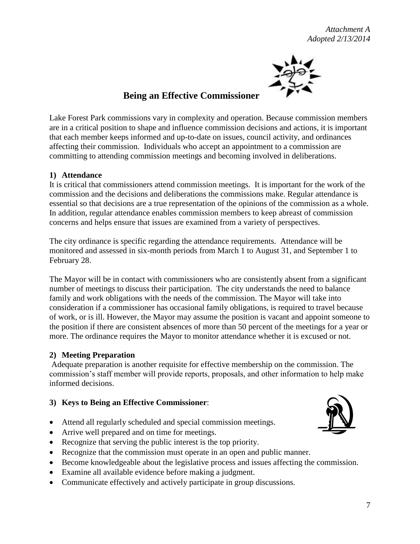*Attachment A Adopted 2/13/2014*



## **Being an Effective Commissioner**

Lake Forest Park commissions vary in complexity and operation. Because commission members are in a critical position to shape and influence commission decisions and actions, it is important that each member keeps informed and up-to-date on issues, council activity, and ordinances affecting their commission. Individuals who accept an appointment to a commission are committing to attending commission meetings and becoming involved in deliberations.

#### **1) Attendance**

It is critical that commissioners attend commission meetings. It is important for the work of the commission and the decisions and deliberations the commissions make. Regular attendance is essential so that decisions are a true representation of the opinions of the commission as a whole. In addition, regular attendance enables commission members to keep abreast of commission concerns and helps ensure that issues are examined from a variety of perspectives.

The city ordinance is specific regarding the attendance requirements. Attendance will be monitored and assessed in six-month periods from March 1 to August 31, and September 1 to February 28.

The Mayor will be in contact with commissioners who are consistently absent from a significant number of meetings to discuss their participation. The city understands the need to balance family and work obligations with the needs of the commission. The Mayor will take into consideration if a commissioner has occasional family obligations, is required to travel because of work, or is ill. However, the Mayor may assume the position is vacant and appoint someone to the position if there are consistent absences of more than 50 percent of the meetings for a year or more. The ordinance requires the Mayor to monitor attendance whether it is excused or not.

#### **2) Meeting Preparation**

Adequate preparation is another requisite for effective membership on the commission. The commission's staff member will provide reports, proposals, and other information to help make informed decisions.

#### **3) Keys to Being an Effective Commissioner**:

- Attend all regularly scheduled and special commission meetings.
- Arrive well prepared and on time for meetings.
- Recognize that serving the public interest is the top priority.
- Recognize that the commission must operate in an open and public manner.
- Become knowledgeable about the legislative process and issues affecting the commission.
- Examine all available evidence before making a judgment.
- Communicate effectively and actively participate in group discussions.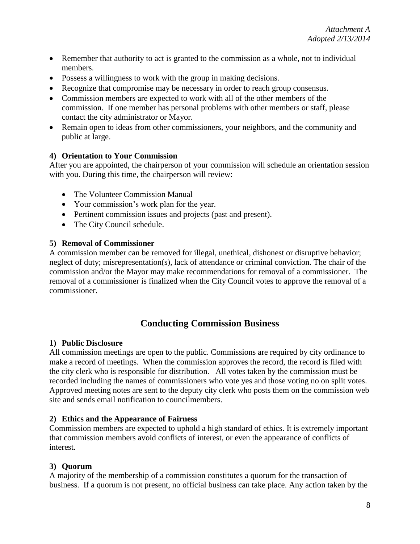- Remember that authority to act is granted to the commission as a whole, not to individual members.
- Possess a willingness to work with the group in making decisions.
- Recognize that compromise may be necessary in order to reach group consensus.
- Commission members are expected to work with all of the other members of the commission. If one member has personal problems with other members or staff, please contact the city administrator or Mayor.
- Remain open to ideas from other commissioners, your neighbors, and the community and public at large.

#### **4) Orientation to Your Commission**

After you are appointed, the chairperson of your commission will schedule an orientation session with you. During this time, the chairperson will review:

- The Volunteer Commission Manual
- Your commission's work plan for the year.
- Pertinent commission issues and projects (past and present).
- The City Council schedule.

#### **5) Removal of Commissioner**

A commission member can be removed for illegal, unethical, dishonest or disruptive behavior; neglect of duty; misrepresentation(s), lack of attendance or criminal conviction. The chair of the commission and/or the Mayor may make recommendations for removal of a commissioner. The removal of a commissioner is finalized when the City Council votes to approve the removal of a commissioner.

## **Conducting Commission Business**

#### **1) Public Disclosure**

All commission meetings are open to the public. Commissions are required by city ordinance to make a record of meetings. When the commission approves the record, the record is filed with the city clerk who is responsible for distribution. All votes taken by the commission must be recorded including the names of commissioners who vote yes and those voting no on split votes. Approved meeting notes are sent to the deputy city clerk who posts them on the commission web site and sends email notification to councilmembers.

#### **2) Ethics and the Appearance of Fairness**

Commission members are expected to uphold a high standard of ethics. It is extremely important that commission members avoid conflicts of interest, or even the appearance of conflicts of interest.

#### **3) Quorum**

A majority of the membership of a commission constitutes a quorum for the transaction of business. If a quorum is not present, no official business can take place. Any action taken by the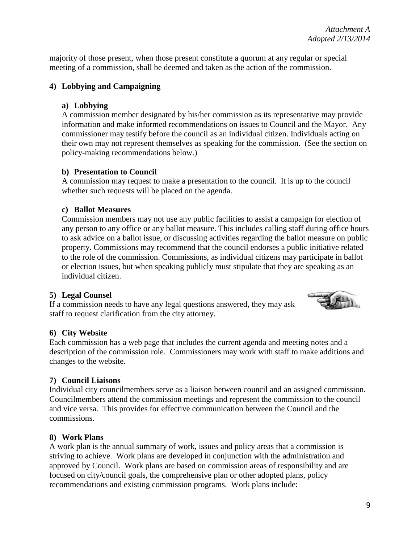majority of those present, when those present constitute a quorum at any regular or special meeting of a commission, shall be deemed and taken as the action of the commission.

#### **4) Lobbying and Campaigning**

#### **a) Lobbying**

A commission member designated by his/her commission as its representative may provide information and make informed recommendations on issues to Council and the Mayor. Any commissioner may testify before the council as an individual citizen. Individuals acting on their own may not represent themselves as speaking for the commission. (See the section on policy-making recommendations below.)

#### **b) Presentation to Council**

A commission may request to make a presentation to the council. It is up to the council whether such requests will be placed on the agenda.

#### **c) Ballot Measures**

Commission members may not use any public facilities to assist a campaign for election of any person to any office or any ballot measure. This includes calling staff during office hours to ask advice on a ballot issue, or discussing activities regarding the ballot measure on public property. Commissions may recommend that the council endorses a public initiative related to the role of the commission. Commissions, as individual citizens may participate in ballot or election issues, but when speaking publicly must stipulate that they are speaking as an individual citizen.

#### **5) Legal Counsel**

If a commission needs to have any legal questions answered, they may ask staff to request clarification from the city attorney.



#### **6) City Website**

Each commission has a web page that includes the current agenda and meeting notes and a description of the commission role. Commissioners may work with staff to make additions and changes to the website.

#### **7) Council Liaisons**

Individual city councilmembers serve as a liaison between council and an assigned commission. Councilmembers attend the commission meetings and represent the commission to the council and vice versa. This provides for effective communication between the Council and the commissions.

#### **8) Work Plans**

A work plan is the annual summary of work, issues and policy areas that a commission is striving to achieve. Work plans are developed in conjunction with the administration and approved by Council. Work plans are based on commission areas of responsibility and are focused on city/council goals, the comprehensive plan or other adopted plans, policy recommendations and existing commission programs. Work plans include: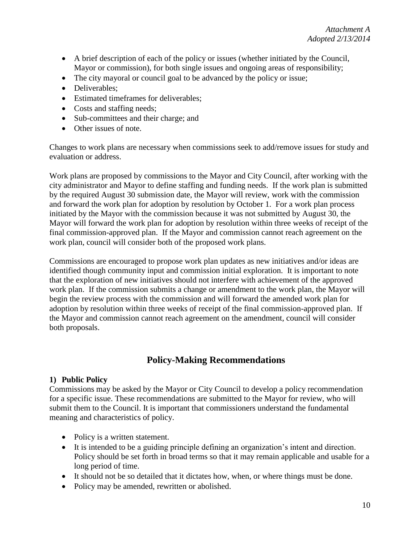- A brief description of each of the policy or issues (whether initiated by the Council, Mayor or commission), for both single issues and ongoing areas of responsibility;
- The city mayoral or council goal to be advanced by the policy or issue;
- Deliverables:
- Estimated timeframes for deliverables;
- Costs and staffing needs;
- Sub-committees and their charge; and
- Other issues of note.

Changes to work plans are necessary when commissions seek to add/remove issues for study and evaluation or address.

Work plans are proposed by commissions to the Mayor and City Council, after working with the city administrator and Mayor to define staffing and funding needs. If the work plan is submitted by the required August 30 submission date, the Mayor will review, work with the commission and forward the work plan for adoption by resolution by October 1. For a work plan process initiated by the Mayor with the commission because it was not submitted by August 30, the Mayor will forward the work plan for adoption by resolution within three weeks of receipt of the final commission-approved plan. If the Mayor and commission cannot reach agreement on the work plan, council will consider both of the proposed work plans.

Commissions are encouraged to propose work plan updates as new initiatives and/or ideas are identified though community input and commission initial exploration. It is important to note that the exploration of new initiatives should not interfere with achievement of the approved work plan. If the commission submits a change or amendment to the work plan, the Mayor will begin the review process with the commission and will forward the amended work plan for adoption by resolution within three weeks of receipt of the final commission-approved plan. If the Mayor and commission cannot reach agreement on the amendment, council will consider both proposals.

## **Policy-Making Recommendations**

#### **1) Public Policy**

Commissions may be asked by the Mayor or City Council to develop a policy recommendation for a specific issue. These recommendations are submitted to the Mayor for review, who will submit them to the Council. It is important that commissioners understand the fundamental meaning and characteristics of policy.

- Policy is a written statement.
- It is intended to be a guiding principle defining an organization's intent and direction. Policy should be set forth in broad terms so that it may remain applicable and usable for a long period of time.
- It should not be so detailed that it dictates how, when, or where things must be done.
- Policy may be amended, rewritten or abolished.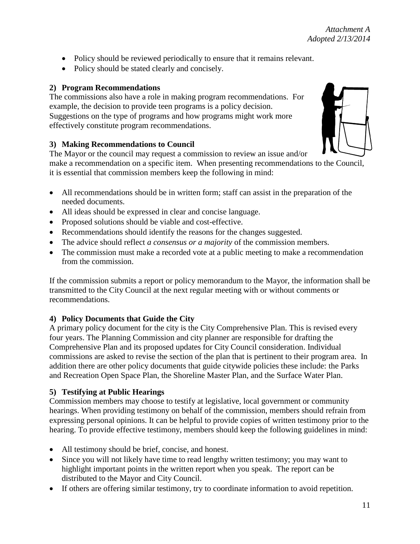- Policy should be reviewed periodically to ensure that it remains relevant.
- Policy should be stated clearly and concisely.

## **2) Program Recommendations**

The commissions also have a role in making program recommendations. For example, the decision to provide teen programs is a policy decision. Suggestions on the type of programs and how programs might work more effectively constitute program recommendations.

## **3) Making Recommendations to Council**

The Mayor or the council may request a commission to review an issue and/or

make a recommendation on a specific item.When presenting recommendations to the Council, it is essential that commission members keep the following in mind:

- All recommendations should be in written form; staff can assist in the preparation of the needed documents.
- All ideas should be expressed in clear and concise language.
- Proposed solutions should be viable and cost-effective.
- Recommendations should identify the reasons for the changes suggested.
- The advice should reflect *a consensus or a majority* of the commission members.
- The commission must make a recorded vote at a public meeting to make a recommendation from the commission.

If the commission submits a report or policy memorandum to the Mayor, the information shall be transmitted to the City Council at the next regular meeting with or without comments or recommendations.

## **4) Policy Documents that Guide the City**

A primary policy document for the city is the City Comprehensive Plan. This is revised every four years. The Planning Commission and city planner are responsible for drafting the Comprehensive Plan and its proposed updates for City Council consideration. Individual commissions are asked to revise the section of the plan that is pertinent to their program area. In addition there are other policy documents that guide citywide policies these include: the Parks and Recreation Open Space Plan, the Shoreline Master Plan, and the Surface Water Plan.

## **5) Testifying at Public Hearings**

Commission members may choose to testify at legislative, local government or community hearings. When providing testimony on behalf of the commission, members should refrain from expressing personal opinions. It can be helpful to provide copies of written testimony prior to the hearing. To provide effective testimony, members should keep the following guidelines in mind:

- All testimony should be brief, concise, and honest.
- Since you will not likely have time to read lengthy written testimony; you may want to highlight important points in the written report when you speak. The report can be distributed to the Mayor and City Council.
- If others are offering similar testimony, try to coordinate information to avoid repetition.